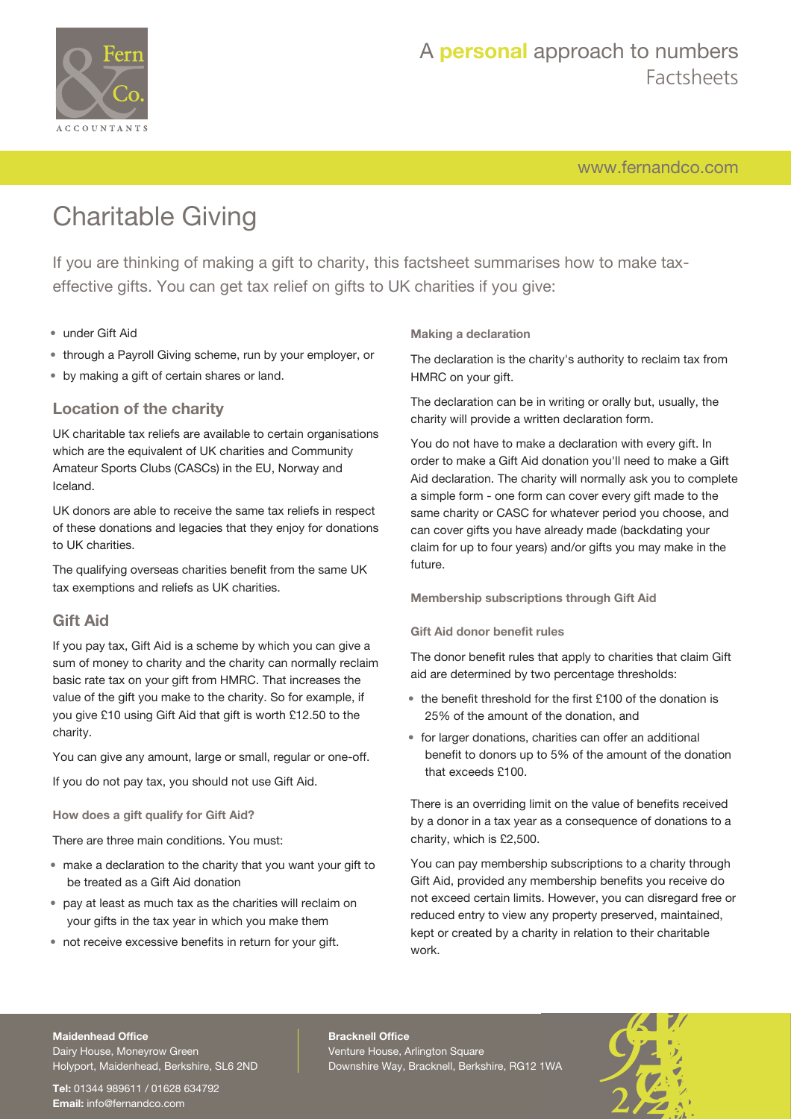

## A **personal** approach to numbers Factsheets

[www.fernandco.com](http://www.fernandco.com)

# Charitable Giving

If you are thinking of making a gift to charity, this factsheet summarises how to make taxeffective gifts. You can get tax relief on gifts to UK charities if you give:

## • under Gift Aid

- through a Payroll Giving scheme, run by your employer, or
- by making a gift of certain shares or land.

## **Location of the charity**

UK charitable tax reliefs are available to certain organisations which are the equivalent of UK charities and Community Amateur Sports Clubs (CASCs) in the EU, Norway and Iceland.

UK donors are able to receive the same tax reliefs in respect of these donations and legacies that they enjoy for donations to UK charities.

The qualifying overseas charities benefit from the same UK tax exemptions and reliefs as UK charities.

## **Gift Aid**

If you pay tax, Gift Aid is a scheme by which you can give a sum of money to charity and the charity can normally reclaim basic rate tax on your gift from HMRC. That increases the value of the gift you make to the charity. So for example, if you give £10 using Gift Aid that gift is worth £12.50 to the charity.

You can give any amount, large or small, regular or one-off.

If you do not pay tax, you should not use Gift Aid.

**How does a gift qualify for Gift Aid?**

There are three main conditions. You must:

- make a declaration to the charity that you want your gift to be treated as a Gift Aid donation
- pay at least as much tax as the charities will reclaim on your gifts in the tax year in which you make them
- not receive excessive benefits in return for your gift.

## **Making a declaration**

The declaration is the charity's authority to reclaim tax from HMRC on your gift.

The declaration can be in writing or orally but, usually, the charity will provide a written declaration form.

You do not have to make a declaration with every gift. In order to make a Gift Aid donation you'll need to make a Gift Aid declaration. The charity will normally ask you to complete a simple form - one form can cover every gift made to the same charity or CASC for whatever period you choose, and can cover gifts you have already made (backdating your claim for up to four years) and/or gifts you may make in the future.

**Membership subscriptions through Gift Aid**

### **Gift Aid donor benefit rules**

The donor benefit rules that apply to charities that claim Gift aid are determined by two percentage thresholds:

- the benefit threshold for the first £100 of the donation is 25% of the amount of the donation, and
- for larger donations, charities can offer an additional benefit to donors up to 5% of the amount of the donation that exceeds £100.

There is an overriding limit on the value of benefits received by a donor in a tax year as a consequence of donations to a charity, which is £2,500.

You can pay membership subscriptions to a charity through Gift Aid, provided any membership benefits you receive do not exceed certain limits. However, you can disregard free or reduced entry to view any property preserved, maintained, kept or created by a charity in relation to their charitable work.

#### **Maidenhead Office**

Dairy House, Moneyrow Green Holyport, Maidenhead, Berkshire, SL6 2ND

**Tel:** 01344 989611 / 01628 634792 **Email:** [info@fernandco.com](mailto:info@fernandco.com)

**Bracknell Office** Venture House, Arlington Square Downshire Way, Bracknell, Berkshire, RG12 1WA

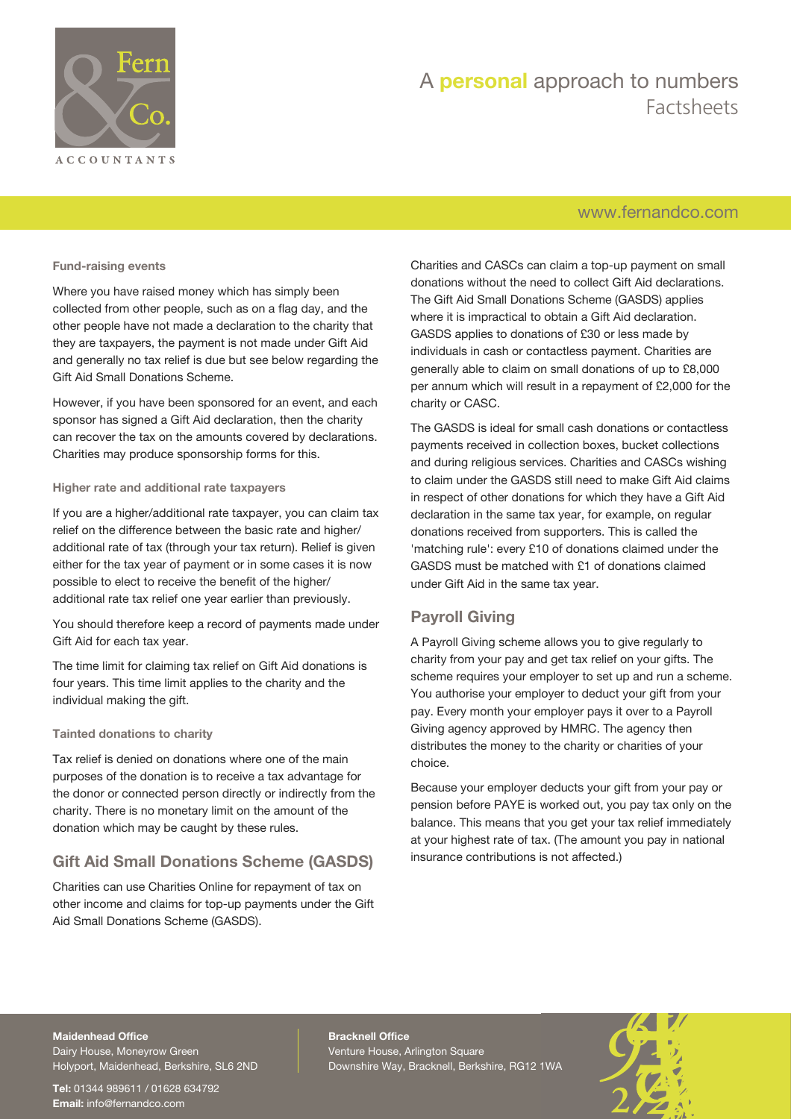

## A **personal** approach to numbers Factsheets

## [www.fernandco.com](http://www.fernandco.com)

#### **Fund-raising events**

Where you have raised money which has simply been collected from other people, such as on a flag day, and the other people have not made a declaration to the charity that they are taxpayers, the payment is not made under Gift Aid and generally no tax relief is due but see below regarding the Gift Aid Small Donations Scheme.

However, if you have been sponsored for an event, and each sponsor has signed a Gift Aid declaration, then the charity can recover the tax on the amounts covered by declarations. Charities may produce sponsorship forms for this.

### **Higher rate and additional rate taxpayers**

If you are a higher/additional rate taxpayer, you can claim tax relief on the difference between the basic rate and higher/ additional rate of tax (through your tax return). Relief is given either for the tax year of payment or in some cases it is now possible to elect to receive the benefit of the higher/ additional rate tax relief one year earlier than previously.

You should therefore keep a record of payments made under Gift Aid for each tax year.

The time limit for claiming tax relief on Gift Aid donations is four years. This time limit applies to the charity and the individual making the gift.

### **Tainted donations to charity**

Tax relief is denied on donations where one of the main purposes of the donation is to receive a tax advantage for the donor or connected person directly or indirectly from the charity. There is no monetary limit on the amount of the donation which may be caught by these rules.

## **Gift Aid Small Donations Scheme (GASDS)**

Charities can use Charities Online for repayment of tax on other income and claims for top-up payments under the Gift Aid Small Donations Scheme (GASDS).

Charities and CASCs can claim a top-up payment on small donations without the need to collect Gift Aid declarations. The Gift Aid Small Donations Scheme (GASDS) applies where it is impractical to obtain a Gift Aid declaration. GASDS applies to donations of £30 or less made by individuals in cash or contactless payment. Charities are generally able to claim on small donations of up to £8,000 per annum which will result in a repayment of £2,000 for the charity or CASC.

The GASDS is ideal for small cash donations or contactless payments received in collection boxes, bucket collections and during religious services. Charities and CASCs wishing to claim under the GASDS still need to make Gift Aid claims in respect of other donations for which they have a Gift Aid declaration in the same tax year, for example, on regular donations received from supporters. This is called the 'matching rule': every £10 of donations claimed under the GASDS must be matched with £1 of donations claimed under Gift Aid in the same tax year.

## **Payroll Giving**

A Payroll Giving scheme allows you to give regularly to charity from your pay and get tax relief on your gifts. The scheme requires your employer to set up and run a scheme. You authorise your employer to deduct your gift from your pay. Every month your employer pays it over to a Payroll Giving agency approved by HMRC. The agency then distributes the money to the charity or charities of your choice.

Because your employer deducts your gift from your pay or pension before PAYE is worked out, you pay tax only on the balance. This means that you get your tax relief immediately at your highest rate of tax. (The amount you pay in national insurance contributions is not affected.)

#### **Maidenhead Office**

Dairy House, Moneyrow Green Holyport, Maidenhead, Berkshire, SL6 2ND

**Tel:** 01344 989611 / 01628 634792 **Email:** [info@fernandco.com](mailto:info@fernandco.com)

**Bracknell Office** Venture House, Arlington Square Downshire Way, Bracknell, Berkshire, RG12 1WA